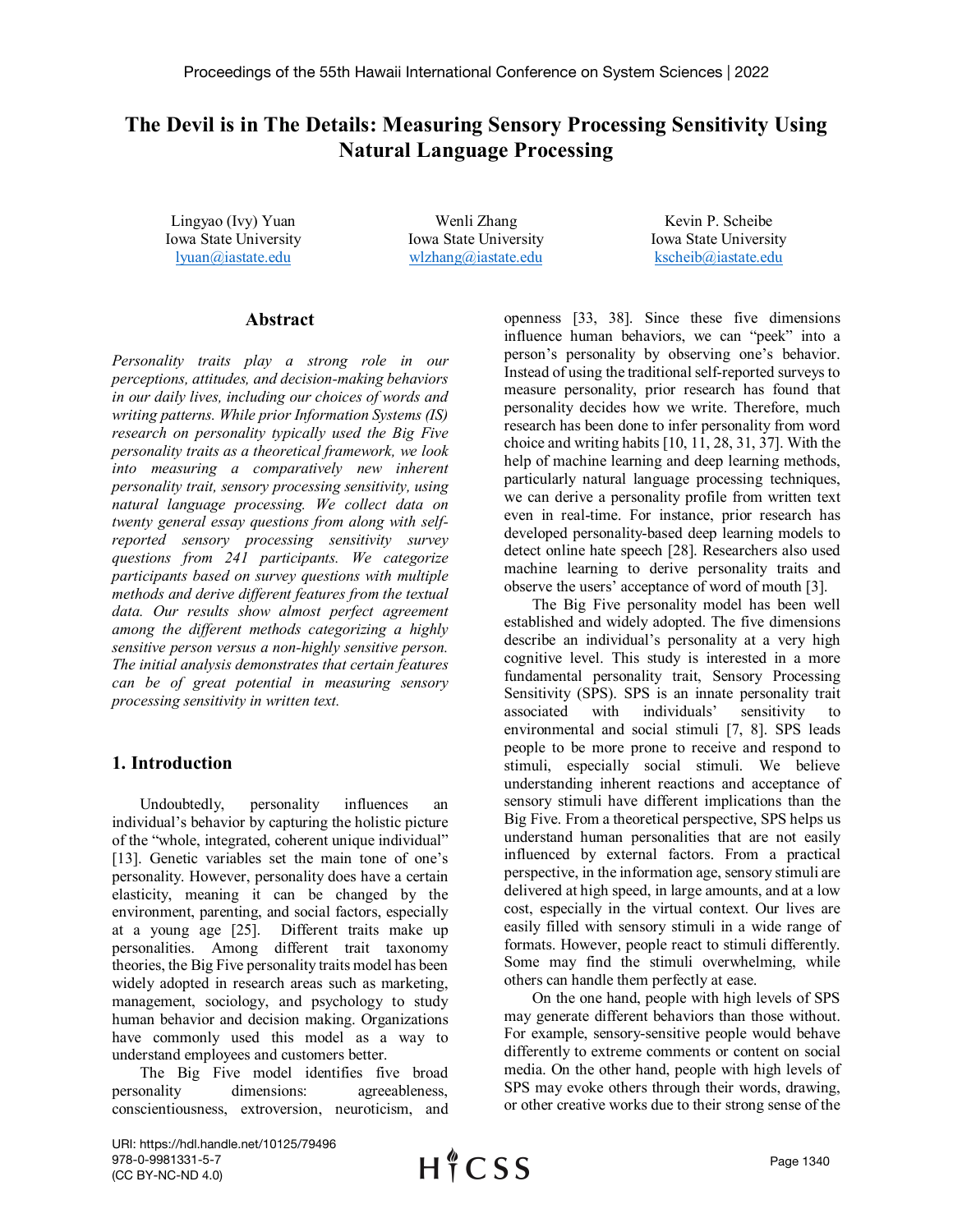# **The Devil is in The Details: Measuring Sensory Processing Sensitivity Using Natural Language Processing**

Lingyao (Ivy) Yuan Iowa State University [lyuan@iastate.edu](mailto:lyuan@iastate.edu)

Wenli Zhang Iowa State University [wlzhang@iastate.edu](mailto:wlzhang@iastate.edu)

Kevin P. Scheibe Iowa State University [kscheib@iastate.edu](mailto:kscheib@iastate.edu)

### **Abstract**

*Personality traits play a strong role in our perceptions, attitudes, and decision-making behaviors in our daily lives, including our choices of words and writing patterns. While prior Information Systems (IS) research on personality typically used the Big Five personality traits as a theoretical framework, we look into measuring a comparatively new inherent personality trait, sensory processing sensitivity, using natural language processing. We collect data on twenty general essay questions from along with selfreported sensory processing sensitivity survey questions from 241 participants. We categorize participants based on survey questions with multiple methods and derive different features from the textual data. Our results show almost perfect agreement among the different methods categorizing a highly sensitive person versus a non-highly sensitive person. The initial analysis demonstrates that certain features can be of great potential in measuring sensory processing sensitivity in written text.*

# **1. Introduction**

Undoubtedly, personality influences an individual's behavior by capturing the holistic picture of the "whole, integrated, coherent unique individual" [13]. Genetic variables set the main tone of one's personality. However, personality does have a certain elasticity, meaning it can be changed by the environment, parenting, and social factors, especially at a young age [25]. Different traits make up personalities. Among different trait taxonomy theories, the Big Five personality traits model has been widely adopted in research areas such as marketing, management, sociology, and psychology to study human behavior and decision making. Organizations have commonly used this model as a way to understand employees and customers better.

The Big Five model identifies five broad personality dimensions: agreeableness, conscientiousness, extroversion, neuroticism, and

openness [33, 38]. Since these five dimensions influence human behaviors, we can "peek" into a person's personality by observing one's behavior. Instead of using the traditional self-reported surveys to measure personality, prior research has found that personality decides how we write. Therefore, much research has been done to infer personality from word choice and writing habits [10, 11, 28, 31, 37]. With the help of machine learning and deep learning methods, particularly natural language processing techniques, we can derive a personality profile from written text even in real-time. For instance, prior research has developed personality-based deep learning models to detect online hate speech [28]. Researchers also used machine learning to derive personality traits and observe the users' acceptance of word of mouth [3].

The Big Five personality model has been well established and widely adopted. The five dimensions describe an individual's personality at a very high cognitive level. This study is interested in a more fundamental personality trait, Sensory Processing Sensitivity (SPS). SPS is an innate personality trait associated with individuals' sensitivity to environmental and social stimuli [7, 8]. SPS leads people to be more prone to receive and respond to stimuli, especially social stimuli. We believe understanding inherent reactions and acceptance of sensory stimuli have different implications than the Big Five. From a theoretical perspective, SPS helps us understand human personalities that are not easily influenced by external factors. From a practical perspective, in the information age, sensory stimuli are delivered at high speed, in large amounts, and at a low cost, especially in the virtual context. Our lives are easily filled with sensory stimuli in a wide range of formats. However, people react to stimuli differently. Some may find the stimuli overwhelming, while others can handle them perfectly at ease.

On the one hand, people with high levels of SPS may generate different behaviors than those without. For example, sensory-sensitive people would behave differently to extreme comments or content on social media. On the other hand, people with high levels of SPS may evoke others through their words, drawing, or other creative works due to their strong sense of the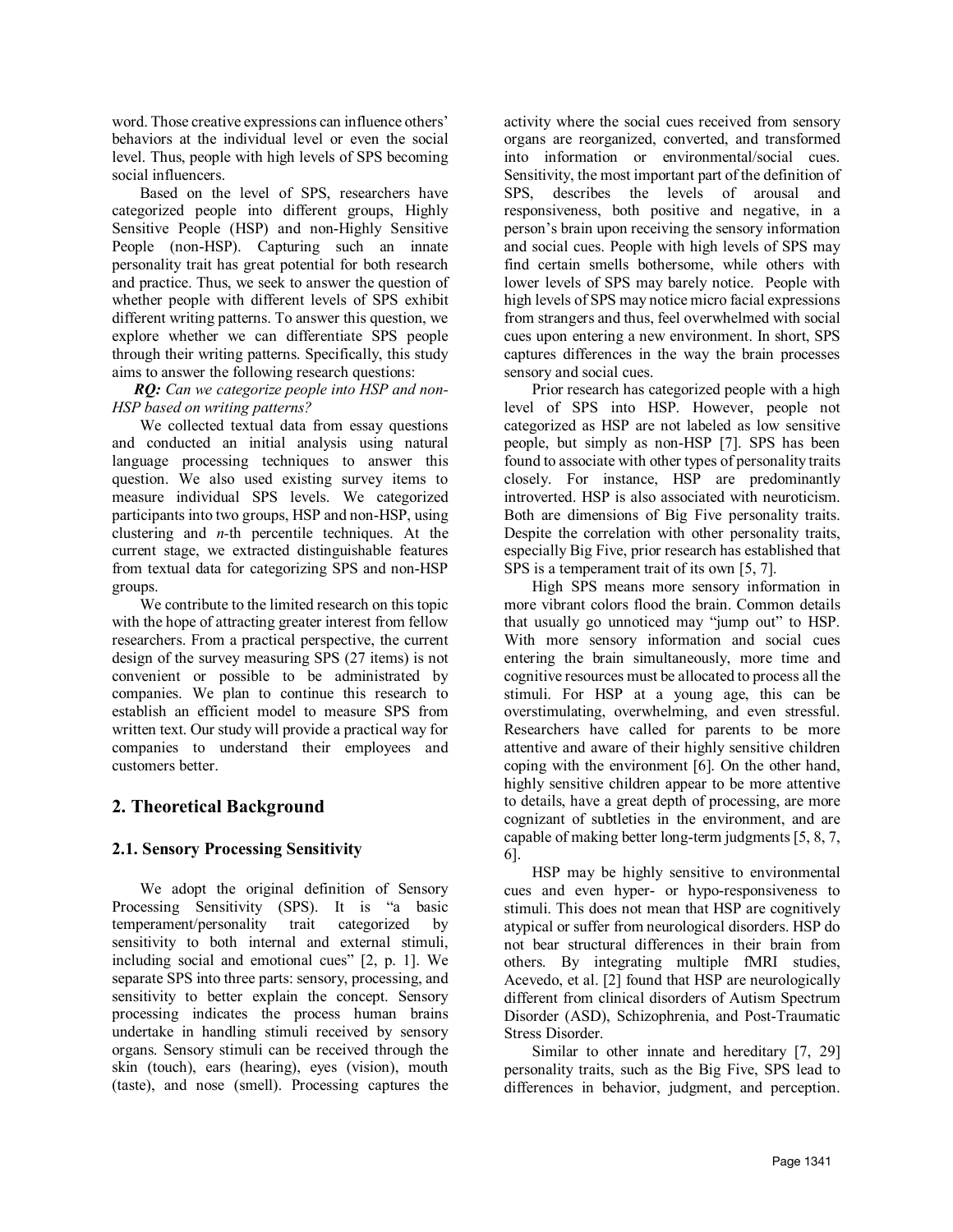word. Those creative expressions can influence others' behaviors at the individual level or even the social level. Thus, people with high levels of SPS becoming social influencers.

Based on the level of SPS, researchers have categorized people into different groups, Highly Sensitive People (HSP) and non-Highly Sensitive People (non-HSP). Capturing such an innate personality trait has great potential for both research and practice. Thus, we seek to answer the question of whether people with different levels of SPS exhibit different writing patterns. To answer this question, we explore whether we can differentiate SPS people through their writing patterns. Specifically, this study aims to answer the following research questions:

*RQ: Can we categorize people into HSP and non-HSP based on writing patterns?* 

We collected textual data from essay questions and conducted an initial analysis using natural language processing techniques to answer this question. We also used existing survey items to measure individual SPS levels. We categorized participants into two groups, HSP and non-HSP, using clustering and *n-*th percentile techniques. At the current stage, we extracted distinguishable features from textual data for categorizing SPS and non-HSP groups.

We contribute to the limited research on this topic with the hope of attracting greater interest from fellow researchers. From a practical perspective, the current design of the survey measuring SPS (27 items) is not convenient or possible to be administrated by companies. We plan to continue this research to establish an efficient model to measure SPS from written text. Our study will provide a practical way for companies to understand their employees and customers better.

# **2. Theoretical Background**

# **2.1. Sensory Processing Sensitivity**

We adopt the original definition of Sensory Processing Sensitivity (SPS). It is "a basic temperament/personality trait categorized by sensitivity to both internal and external stimuli, including social and emotional cues" [2, p. 1]. We separate SPS into three parts: sensory, processing, and sensitivity to better explain the concept. Sensory processing indicates the process human brains undertake in handling stimuli received by sensory organs. Sensory stimuli can be received through the skin (touch), ears (hearing), eyes (vision), mouth (taste), and nose (smell). Processing captures the

activity where the social cues received from sensory organs are reorganized, converted, and transformed into information or environmental/social cues. Sensitivity, the most important part of the definition of SPS, describes the levels of arousal and responsiveness, both positive and negative, in a person's brain upon receiving the sensory information and social cues. People with high levels of SPS may find certain smells bothersome, while others with lower levels of SPS may barely notice. People with high levels of SPS may notice micro facial expressions from strangers and thus, feel overwhelmed with social cues upon entering a new environment. In short, SPS captures differences in the way the brain processes sensory and social cues.

Prior research has categorized people with a high level of SPS into HSP. However, people not categorized as HSP are not labeled as low sensitive people, but simply as non-HSP [7]. SPS has been found to associate with other types of personality traits closely. For instance, HSP are predominantly introverted. HSP is also associated with neuroticism. Both are dimensions of Big Five personality traits. Despite the correlation with other personality traits, especially Big Five, prior research has established that SPS is a temperament trait of its own [5, 7].

High SPS means more sensory information in more vibrant colors flood the brain. Common details that usually go unnoticed may "jump out" to HSP. With more sensory information and social cues entering the brain simultaneously, more time and cognitive resources must be allocated to process all the stimuli. For HSP at a young age, this can be overstimulating, overwhelming, and even stressful. Researchers have called for parents to be more attentive and aware of their highly sensitive children coping with the environment [6]. On the other hand, highly sensitive children appear to be more attentive to details, have a great depth of processing, are more cognizant of subtleties in the environment, and are capable of making better long-term judgments [5, 8, 7, 6].

HSP may be highly sensitive to environmental cues and even hyper- or hypo-responsiveness to stimuli. This does not mean that HSP are cognitively atypical or suffer from neurological disorders. HSP do not bear structural differences in their brain from others. By integrating multiple fMRI studies, Acevedo, et al. [2] found that HSP are neurologically different from clinical disorders of Autism Spectrum Disorder (ASD), Schizophrenia, and Post-Traumatic Stress Disorder.

Similar to other innate and hereditary [7, 29] personality traits, such as the Big Five, SPS lead to differences in behavior, judgment, and perception.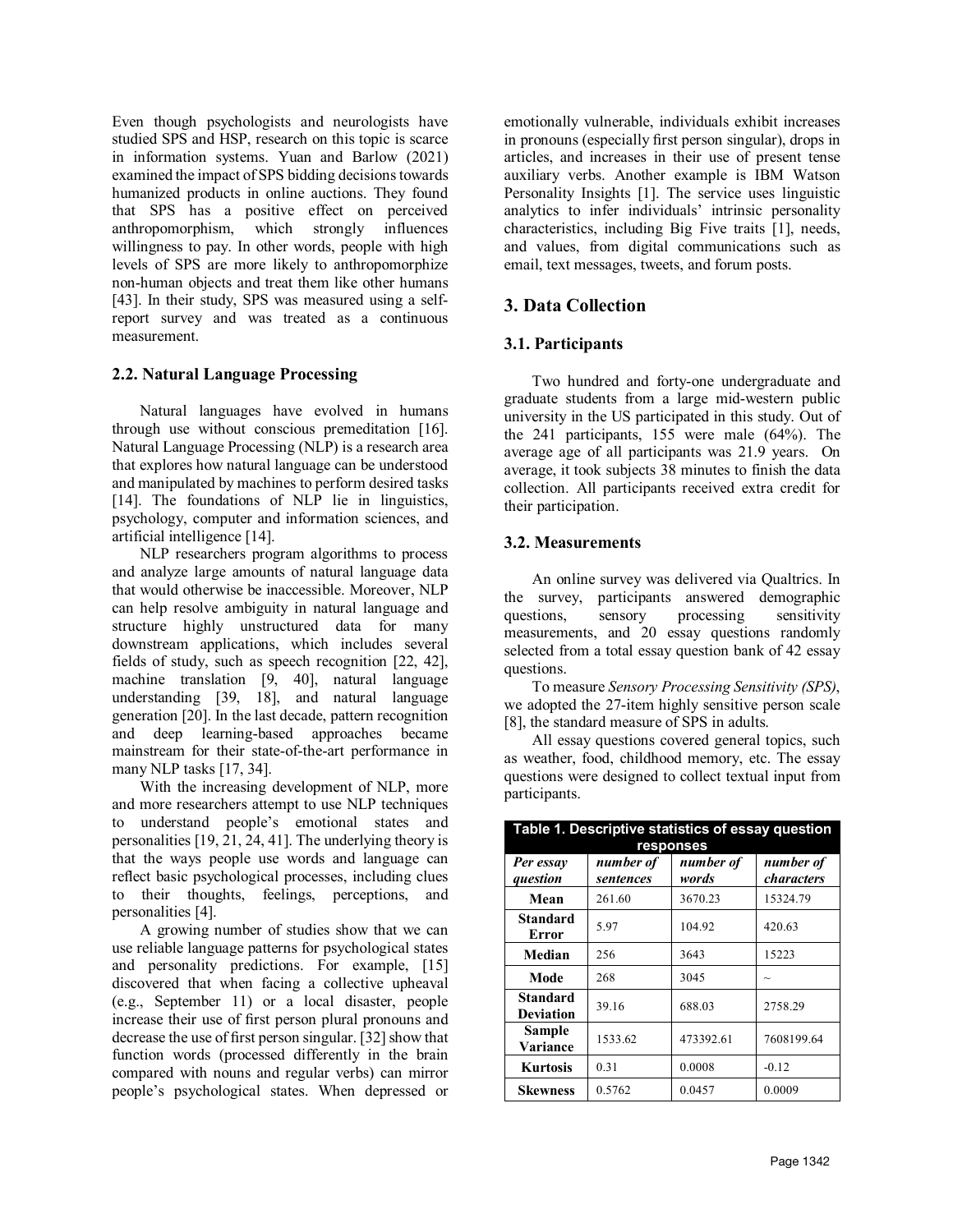Even though psychologists and neurologists have studied SPS and HSP, research on this topic is scarce in information systems. Yuan and Barlow (2021) examined the impact of SPS bidding decisions towards humanized products in online auctions. They found that SPS has a positive effect on perceived anthropomorphism, which strongly influences willingness to pay. In other words, people with high levels of SPS are more likely to anthropomorphize non-human objects and treat them like other humans [43]. In their study, SPS was measured using a selfreport survey and was treated as a continuous measurement.

### **2.2. Natural Language Processing**

Natural languages have evolved in humans through use without conscious premeditation [16]. Natural Language Processing (NLP) is a research area that explores how natural language can be understood and manipulated by machines to perform desired tasks [14]. The foundations of NLP lie in linguistics, psychology, computer and information sciences, and artificial intelligence [14].

NLP researchers program algorithms to process and analyze large amounts of natural language data that would otherwise be inaccessible. Moreover, NLP can help resolve ambiguity in natural language and structure highly unstructured data for many downstream applications, which includes several fields of study, such as speech recognition [22, 42], machine translation [9, 40], natural language understanding [39, 18], and natural language generation [20]. In the last decade, pattern recognition and deep learning-based approaches became mainstream for their state-of-the-art performance in many NLP tasks [17, 34].

With the increasing development of NLP, more and more researchers attempt to use NLP techniques to understand people's emotional states and personalities [19, 21, 24, 41]. The underlying theory is that the ways people use words and language can reflect basic psychological processes, including clues to their thoughts, feelings, perceptions, and personalities [4].

A growing number of studies show that we can use reliable language patterns for psychological states and personality predictions. For example, [15] discovered that when facing a collective upheaval (e.g., September 11) or a local disaster, people increase their use of first person plural pronouns and decrease the use of first person singular. [32] show that function words (processed differently in the brain compared with nouns and regular verbs) can mirror people's psychological states. When depressed or emotionally vulnerable, individuals exhibit increases in pronouns (especially first person singular), drops in articles, and increases in their use of present tense auxiliary verbs. Another example is IBM Watson Personality Insights [1]. The service uses linguistic analytics to infer individuals' intrinsic personality characteristics, including Big Five traits [1], needs, and values, from digital communications such as email, text messages, tweets, and forum posts.

# **3. Data Collection**

### **3.1. Participants**

Two hundred and forty-one undergraduate and graduate students from a large mid-western public university in the US participated in this study. Out of the 241 participants, 155 were male (64%). The average age of all participants was 21.9 years. On average, it took subjects 38 minutes to finish the data collection. All participants received extra credit for their participation.

### **3.2. Measurements**

An online survey was delivered via Qualtrics. In the survey, participants answered demographic questions, sensory processing sensitivity measurements, and 20 essay questions randomly selected from a total essay question bank of 42 essay questions.

To measure *Sensory Processing Sensitivity (SPS)*, we adopted the 27-item highly sensitive person scale [8], the standard measure of SPS in adults.

All essay questions covered general topics, such as weather, food, childhood memory, etc. The essay questions were designed to collect textual input from participants.

| Table 1. Descriptive statistics of essay question<br>responses |                        |                    |                           |
|----------------------------------------------------------------|------------------------|--------------------|---------------------------|
| Per essay<br>question                                          | number of<br>sentences | number of<br>words | number of<br>characters   |
| Mean                                                           | 261.60                 | 3670.23            | 15324.79                  |
| <b>Standard</b><br><b>Error</b>                                | 5.97                   | 104.92             | 420.63                    |
| Median                                                         | 256                    | 3643               | 15223                     |
| Mode                                                           | 268                    | 3045               | $\widetilde{\phantom{m}}$ |
| Standard<br><b>Deviation</b>                                   | 39.16                  | 688.03             | 2758.29                   |
| <b>Sample</b><br>Variance                                      | 1533.62                | 473392.61          | 7608199.64                |
| <b>Kurtosis</b>                                                | 0.31                   | 0.0008             | $-0.12$                   |
| Skewness                                                       | 0.5762                 | 0.0457             | 0.0009                    |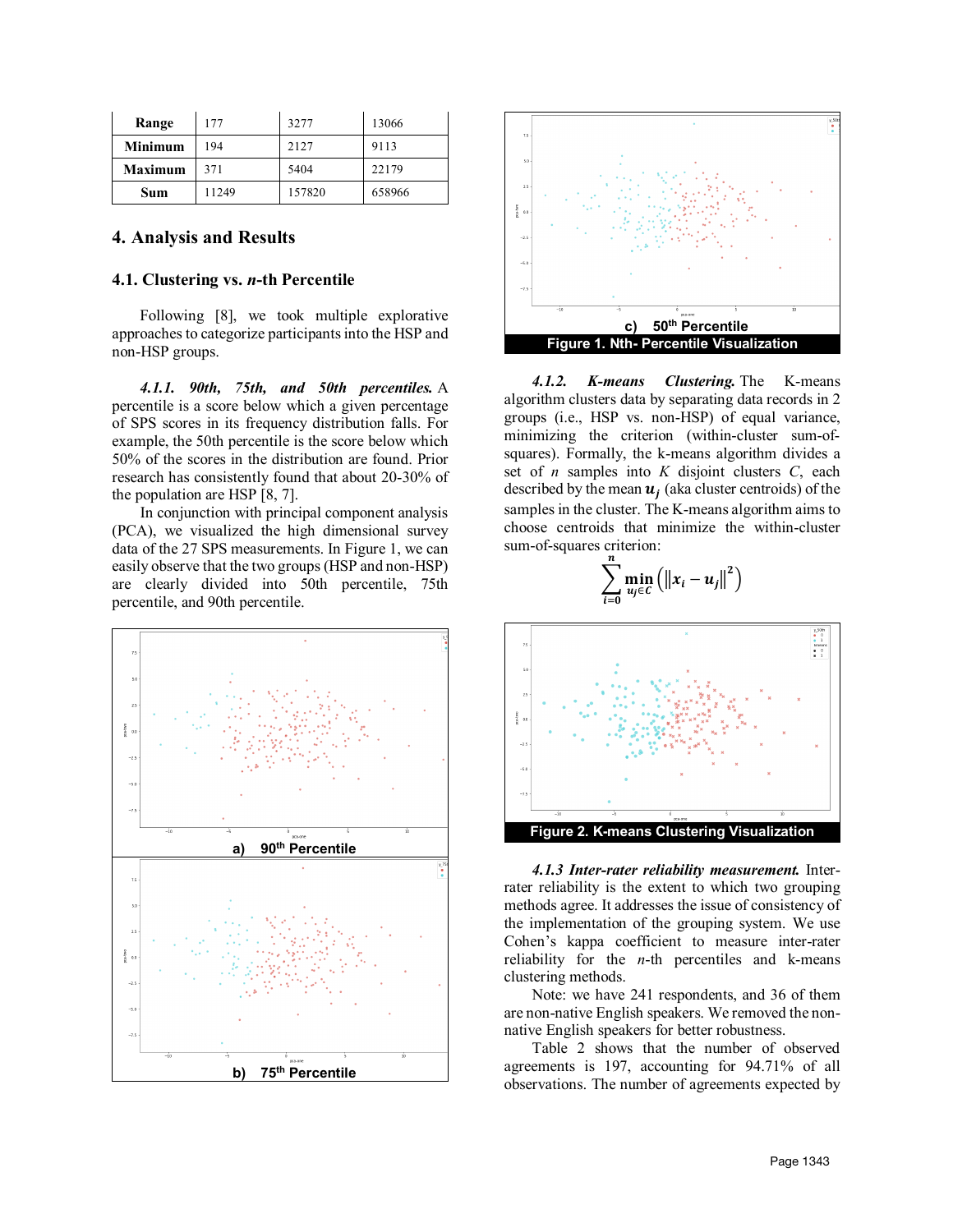| Range          | 177   | 3277   | 13066  |
|----------------|-------|--------|--------|
| <b>Minimum</b> | 194   | 2127   | 9113   |
| <b>Maximum</b> | 371   | 5404   | 22179  |
| Sum            | 11249 | 157820 | 658966 |

### **4. Analysis and Results**

#### **4.1. Clustering vs.** *n***-th Percentile**

Following [8], we took multiple explorative approaches to categorize participants into the HSP and non-HSP groups.

*4.1.1. 90th, 75th, and 50th percentiles.* A percentile is a score below which a given percentage of SPS scores in its frequency distribution falls. For example, the 50th percentile is the score below which 50% of the scores in the distribution are found. Prior research has consistently found that about 20-30% of the population are HSP [8, 7].

In conjunction with principal component analysis (PCA), we visualized the high dimensional survey data of the 27 SPS measurements. In Figure 1, we can easily observe that the two groups (HSP and non-HSP) are clearly divided into 50th percentile, 75th percentile, and 90th percentile.





*4.1.2. K-means Clustering.* The K-means algorithm clusters data by separating data records in 2 groups (i.e., HSP vs. non-HSP) of equal variance, minimizing the criterion (within-cluster sum-ofsquares). Formally, the k-means algorithm divides a set of *n* samples into *K* disjoint clusters *C*, each described by the mean  $\mathbf{u}_i$  (aka cluster centroids) of the samples in the cluster. The K-means algorithm aims to choose centroids that minimize the within-cluster sum-of-squares criterion:

$$
\sum_{i=0}^n \min_{u_j \in C} \left( \left\| x_i - u_j \right\|^2 \right)
$$



*4.1.3 Inter-rater reliability measurement.* Interrater reliability is the extent to which two grouping methods agree. It addresses the issue of consistency of the implementation of the grouping system. We use Cohen's kappa coefficient to measure inter-rater reliability for the *n*-th percentiles and k-means clustering methods.

Note: we have 241 respondents, and 36 of them are non-native English speakers. We removed the nonnative English speakers for better robustness.

Table 2 shows that the number of observed agreements is 197, accounting for 94.71% of all observations. The number of agreements expected by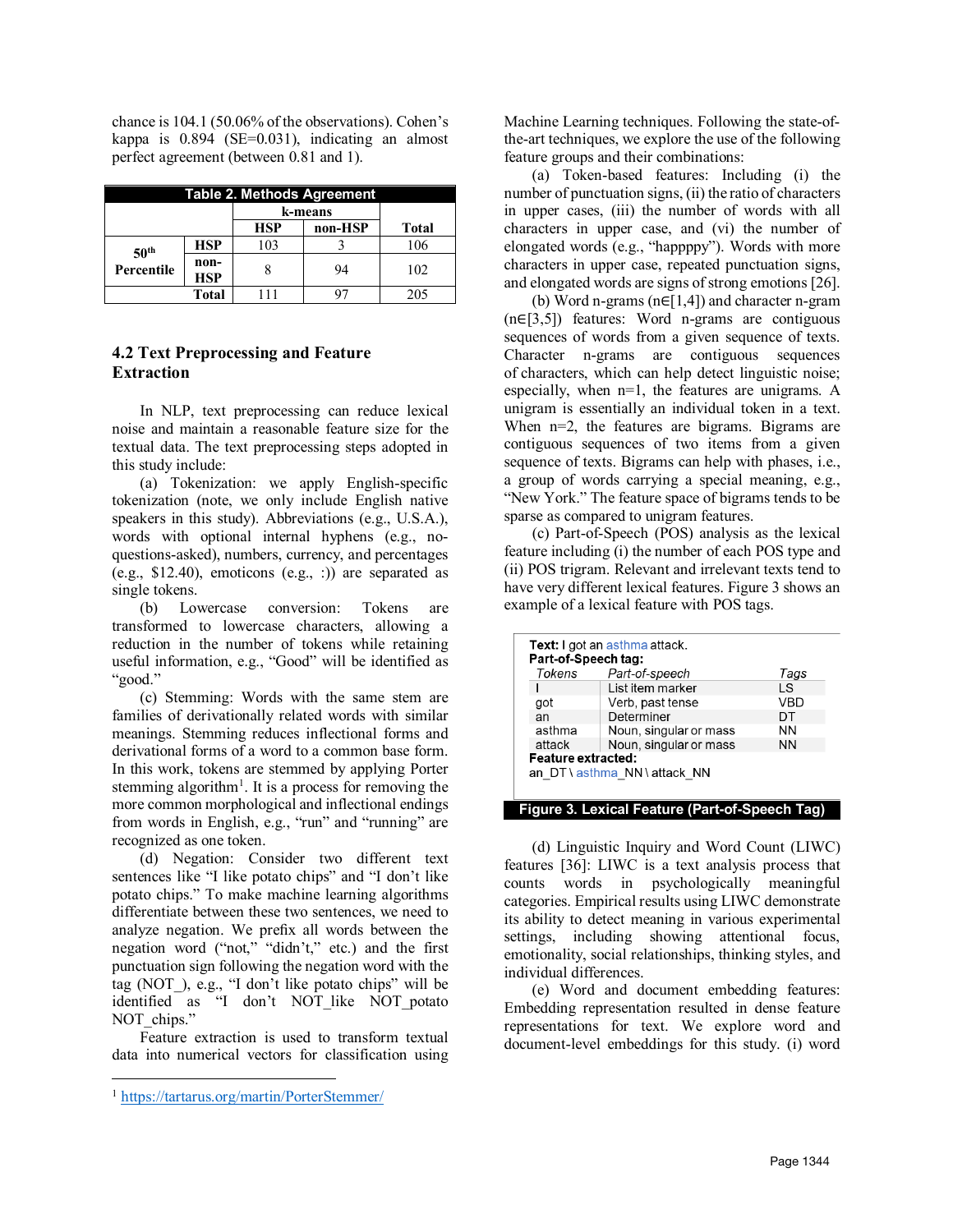chance is 104.1 (50.06% of the observations). Cohen's kappa is 0.894 (SE=0.031), indicating an almost perfect agreement (between 0.81 and 1).

| Table 2. Methods Agreement |                    |            |         |       |
|----------------------------|--------------------|------------|---------|-------|
|                            |                    | k-means    |         |       |
|                            |                    | <b>HSP</b> | non-HSP | Total |
| 50 <sup>th</sup>           | <b>HSP</b>         | 103        |         | 106   |
| Percentile                 | non-<br><b>HSP</b> |            | 94      | 102   |
|                            | Total              |            |         |       |

# **4.2 Text Preprocessing and Feature Extraction**

In NLP, text preprocessing can reduce lexical noise and maintain a reasonable feature size for the textual data. The text preprocessing steps adopted in this study include:

(a) Tokenization: we apply English-specific tokenization (note, we only include English native speakers in this study). Abbreviations (e.g., U.S.A.), words with optional internal hyphens (e.g., noquestions-asked), numbers, currency, and percentages (e.g., \$12.40), emoticons (e.g., :)) are separated as single tokens.

(b) Lowercase conversion: Tokens are transformed to lowercase characters, allowing a reduction in the number of tokens while retaining useful information, e.g., "Good" will be identified as "good."

(c) Stemming: Words with the same stem are families of derivationally related words with similar meanings. Stemming reduces inflectional forms and derivational forms of a word to a common base form. In this work, tokens are stemmed by applying Porter stemming algorithm<sup>[1](#page-4-0)</sup>. It is a process for removing the more common morphological and inflectional endings from words in English, e.g., "run" and "running" are recognized as one token.

(d) Negation: Consider two different text sentences like "I like potato chips" and "I don't like potato chips." To make machine learning algorithms differentiate between these two sentences, we need to analyze negation. We prefix all words between the negation word ("not," "didn't," etc.) and the first punctuation sign following the negation word with the tag (NOT\_), e.g., "I don't like potato chips" will be identified as "I don't NOT\_like NOT\_potato NOT chips."

Feature extraction is used to transform textual data into numerical vectors for classification using Machine Learning techniques. Following the state-ofthe-art techniques, we explore the use of the following feature groups and their combinations:

(a) Token-based features: Including (i) the number of punctuation signs, (ii) the ratio of characters in upper cases, (iii) the number of words with all characters in upper case, and (vi) the number of elongated words (e.g., "happppy"). Words with more characters in upper case, repeated punctuation signs, and elongated words are signs of strong emotions [26].

(b) Word n-grams (n∈[1,4]) and character n-gram (n∈[3,5]) features: Word n-grams are contiguous sequences of words from a given sequence of texts. Character n-grams are contiguous sequences of characters, which can help detect linguistic noise; especially, when n=1, the features are unigrams. A unigram is essentially an individual token in a text. When n=2, the features are bigrams. Bigrams are contiguous sequences of two items from a given sequence of texts. Bigrams can help with phases, i.e., a group of words carrying a special meaning, e.g., "New York." The feature space of bigrams tends to be sparse as compared to unigram features.

(c) Part-of-Speech (POS) analysis as the lexical feature including (i) the number of each POS type and (ii) POS trigram. Relevant and irrelevant texts tend to have very different lexical features. Figure 3 shows an example of a lexical feature with POS tags.

| <b>Text:</b> I got an asthma attack.<br>Part-of-Speech tag: |                        |           |  |
|-------------------------------------------------------------|------------------------|-----------|--|
| Tokens                                                      | Part-of-speech         | Tags      |  |
|                                                             | List item marker       | LS        |  |
| got                                                         | Verb, past tense       | VBD       |  |
| an                                                          | Determiner             | DT        |  |
| asthma                                                      | Noun, singular or mass | <b>NN</b> |  |
| attack                                                      | Noun, singular or mass | <b>NN</b> |  |
| Feature extracted:                                          |                        |           |  |
| an DT \ asthma NN \ attack NN                               |                        |           |  |
|                                                             |                        |           |  |

#### **Figure 3. Lexical Feature (Part-of-Speech Tag)**

(d) Linguistic Inquiry and Word Count (LIWC) features [36]: LIWC is a text analysis process that counts words in psychologically meaningful categories. Empirical results using LIWC demonstrate its ability to detect meaning in various experimental settings, including showing attentional focus, emotionality, social relationships, thinking styles, and individual differences.

(e) Word and document embedding features: Embedding representation resulted in dense feature representations for text. We explore word and document-level embeddings for this study. (i) word

<span id="page-4-0"></span><sup>1</sup> [https://tartarus.org/martin/PorterStemmer/](https://www.google.com/url?q=https://tartarus.org/martin/PorterStemmer/&sa=D&source=editors&ust=1623179601121000&usg=AOvVaw31xlsJcsmFxvBM52SY2sNa)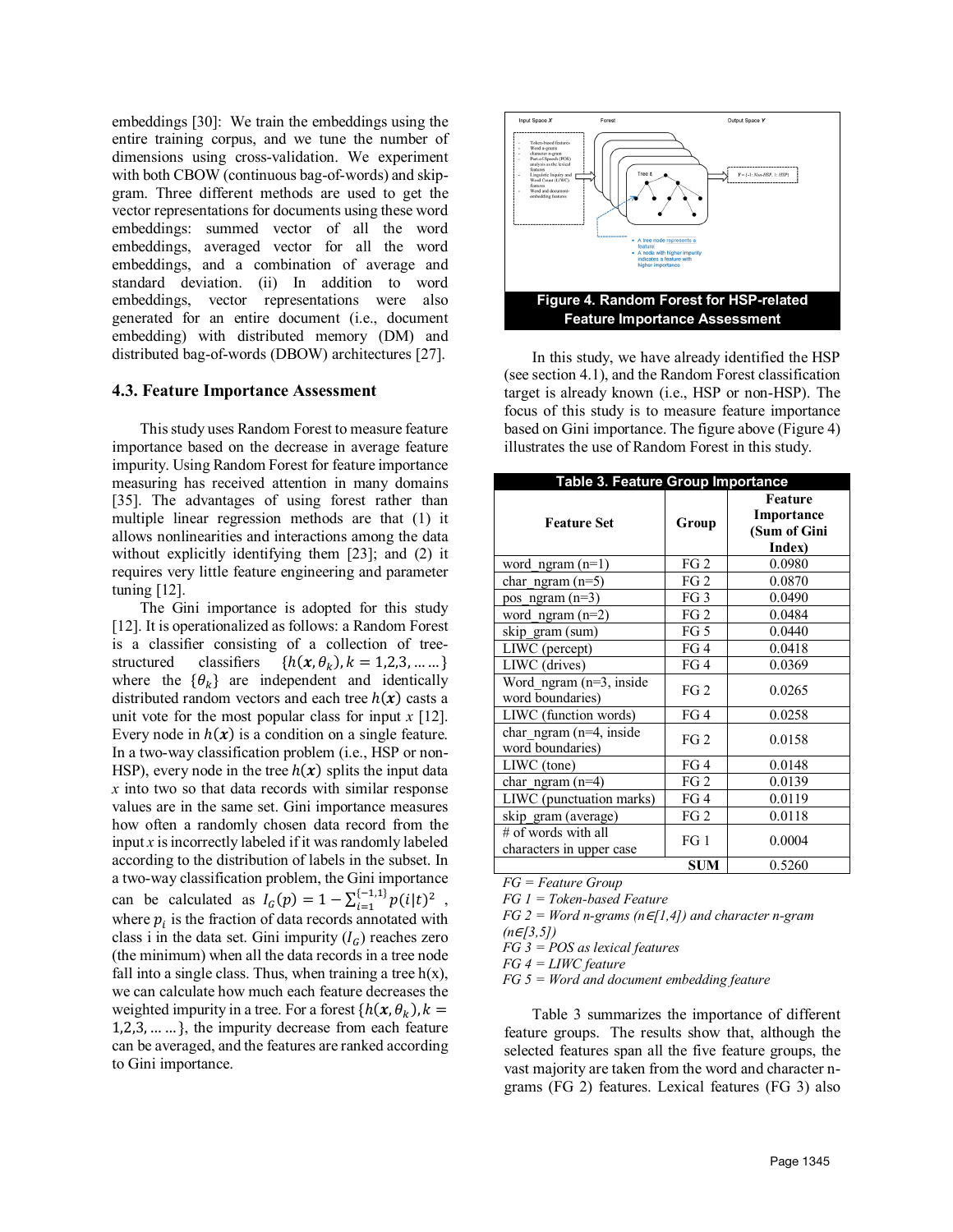embeddings [30]: We train the embeddings using the entire training corpus, and we tune the number of dimensions using cross-validation. We experiment with both CBOW (continuous bag-of-words) and skipgram. Three different methods are used to get the vector representations for documents using these word embeddings: summed vector of all the word embeddings, averaged vector for all the word embeddings, and a combination of average and standard deviation. (ii) In addition to word embeddings, vector representations were also generated for an entire document (i.e., document embedding) with distributed memory (DM) and distributed bag-of-words (DBOW) architectures [27].

#### **4.3. Feature Importance Assessment**

This study uses Random Forest to measure feature importance based on the decrease in average feature impurity. Using Random Forest for feature importance measuring has received attention in many domains [35]. The advantages of using forest rather than multiple linear regression methods are that (1) it allows nonlinearities and interactions among the data without explicitly identifying them [23]; and (2) it requires very little feature engineering and parameter tuning [12].

The Gini importance is adopted for this study [12]. It is operationalized as follows: a Random Forest is a classifier consisting of a collection of treestructured classifiers  $\{h(x, \theta_k), k = 1, 2, 3, \dots \}$ where the  $\{\theta_k\}$  are independent and identically distributed random vectors and each tree  $h(x)$  casts a unit vote for the most popular class for input *x* [12]. Every node in  $h(x)$  is a condition on a single feature. In a two-way classification problem (i.e., HSP or non-HSP), every node in the tree  $h(x)$  splits the input data *x* into two so that data records with similar response values are in the same set. Gini importance measures how often a randomly chosen data record from the input *x* is incorrectly labeled if it was randomly labeled according to the distribution of labels in the subset. In a two-way classification problem, the Gini importance can be calculated as  $I_G(p) = 1 - \sum_{i=1}^{(-1,1)} p(i|t)^2$ , where  $p_i$  is the fraction of data records annotated with class i in the data set. Gini impurity  $(I_G)$  reaches zero (the minimum) when all the data records in a tree node fall into a single class. Thus, when training a tree  $h(x)$ , we can calculate how much each feature decreases the weighted impurity in a tree. For a forest  $\{h(x, \theta_k), k =$ 1,2,3, … … }, the impurity decrease from each feature can be averaged, and the features are ranked according to Gini importance.



In this study, we have already identified the HSP (see section 4.1), and the Random Forest classification target is already known (i.e., HSP or non-HSP). The focus of this study is to measure feature importance based on Gini importance. The figure above (Figure 4) illustrates the use of Random Forest in this study.

| Table 3. Feature Group Importance                 |                 |                                                 |  |
|---------------------------------------------------|-----------------|-------------------------------------------------|--|
| <b>Feature Set</b>                                | Group           | Feature<br>Importance<br>(Sum of Gini<br>Index) |  |
| word ngram $(n=1)$                                | FG <sub>2</sub> | 0.0980                                          |  |
| char ngram $(n=5)$                                | FG <sub>2</sub> | 0.0870                                          |  |
| pos ngram $(n=3)$                                 | FG <sub>3</sub> | 0.0490                                          |  |
| word ngram $(n=2)$                                | FG <sub>2</sub> | 0.0484                                          |  |
| skip_gram (sum)                                   | FG <sub>5</sub> | 0.0440                                          |  |
| LIWC (percept)                                    | FG4             | 0.0418                                          |  |
| LIWC (drives)                                     | FG4             | 0.0369                                          |  |
| Word_ngram (n=3, inside<br>word boundaries)       | FG <sub>2</sub> | 0.0265                                          |  |
| LIWC (function words)                             | FG4             | 0.0258                                          |  |
| char ngram $(n=4)$ , inside<br>word boundaries)   | FG <sub>2</sub> | 0.0158                                          |  |
| LIWC (tone)                                       | FG4             | 0.0148                                          |  |
| char ngram $(n=4)$                                | FG <sub>2</sub> | 0.0139                                          |  |
| LIWC (punctuation marks)                          | FG4             | 0.0119                                          |  |
| skip gram (average)                               | FG <sub>2</sub> | 0.0118                                          |  |
| $#$ of words with all<br>characters in upper case | FG <sub>1</sub> | 0.0004                                          |  |
|                                                   | <b>SUM</b>      | 0.5260                                          |  |

*FG = Feature Group FG 1 = Token-based Feature*

*FG 2 = Word n-grams (n*∈*[1,4]) and character n-gram* 

*(n*∈*[3,5])*

*FG 3 = POS as lexical features*

*FG 4 = LIWC feature*

*FG 5 = Word and document embedding feature*

Table 3 summarizes the importance of different feature groups. The results show that, although the selected features span all the five feature groups, the vast majority are taken from the word and character ngrams (FG 2) features. Lexical features (FG 3) also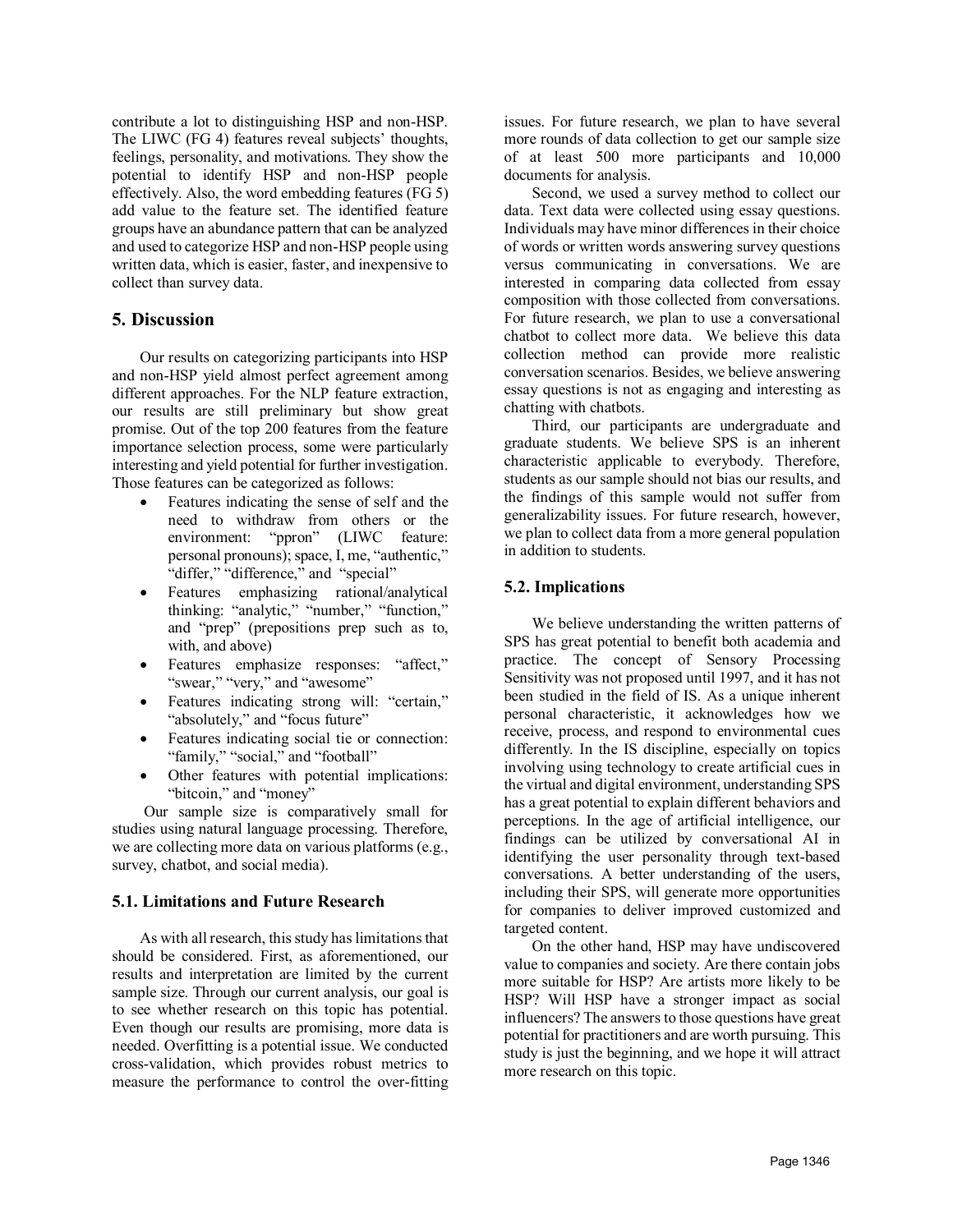contribute a lot to distinguishing HSP and non-HSP. The LIWC (FG 4) features reveal subjects' thoughts, feelings, personality, and motivations. They show the potential to identify HSP and non-HSP people effectively. Also, the word embedding features (FG 5) add value to the feature set. The identified feature groups have an abundance pattern that can be analyzed and used to categorize HSP and non-HSP people using written data, which is easier, faster, and inexpensive to collect than survey data.

# **5. Discussion**

Our results on categorizing participants into HSP and non-HSP yield almost perfect agreement among different approaches. For the NLP feature extraction, our results are still preliminary but show great promise. Out of the top 200 features from the feature importance selection process, some were particularly interesting and yield potential for further investigation. Those features can be categorized as follows:

- Features indicating the sense of self and the need to withdraw from others or the environment: "ppron" (LIWC feature: personal pronouns); space, I, me, "authentic," "differ," "difference," and "special"
- Features emphasizing rational/analytical thinking: "analytic," "number," "function," and "prep" (prepositions prep such as to, with, and above)
- Features emphasize responses: "affect," "swear," "very," and "awesome"
- Features indicating strong will: "certain," "absolutely," and "focus future"
- Features indicating social tie or connection: "family," "social," and "football"
- Other features with potential implications: "bitcoin," and "money"

Our sample size is comparatively small for studies using natural language processing. Therefore, we are collecting more data on various platforms (e.g., survey, chatbot, and social media).

#### **5.1. Limitations and Future Research**

As with all research, this study has limitations that should be considered. First, as aforementioned, our results and interpretation are limited by the current sample size. Through our current analysis, our goal is to see whether research on this topic has potential. Even though our results are promising, more data is needed. Overfitting is a potential issue. We conducted cross-validation, which provides robust metrics to measure the performance to control the over-fitting

issues. For future research, we plan to have several more rounds of data collection to get our sample size of at least 500 more participants and 10,000 documents for analysis.

Second, we used a survey method to collect our data. Text data were collected using essay questions. Individuals may have minor differences in their choice of words or written words answering survey questions versus communicating in conversations. We are interested in comparing data collected from essay composition with those collected from conversations. For future research, we plan to use a conversational chatbot to collect more data. We believe this data collection method can provide more realistic conversation scenarios. Besides, we believe answering essay questions is not as engaging and interesting as chatting with chatbots.

Third, our participants are undergraduate and graduate students. We believe SPS is an inherent characteristic applicable to everybody. Therefore, students as our sample should not bias our results, and the findings of this sample would not suffer from generalizability issues. For future research, however, we plan to collect data from a more general population in addition to students.

### **5.2. Implications**

We believe understanding the written patterns of SPS has great potential to benefit both academia and practice. The concept of Sensory Processing Sensitivity was not proposed until 1997, and it has not been studied in the field of IS. As a unique inherent personal characteristic, it acknowledges how we receive, process, and respond to environmental cues differently. In the IS discipline, especially on topics involving using technology to create artificial cues in the virtual and digital environment, understanding SPS has a great potential to explain different behaviors and perceptions. In the age of artificial intelligence, our findings can be utilized by conversational AI in identifying the user personality through text-based conversations. A better understanding of the users, including their SPS, will generate more opportunities for companies to deliver improved customized and targeted content.

On the other hand, HSP may have undiscovered value to companies and society. Are there contain jobs more suitable for HSP? Are artists more likely to be HSP? Will HSP have a stronger impact as social influencers? The answers to those questions have great potential for practitioners and are worth pursuing. This study is just the beginning, and we hope it will attract more research on this topic.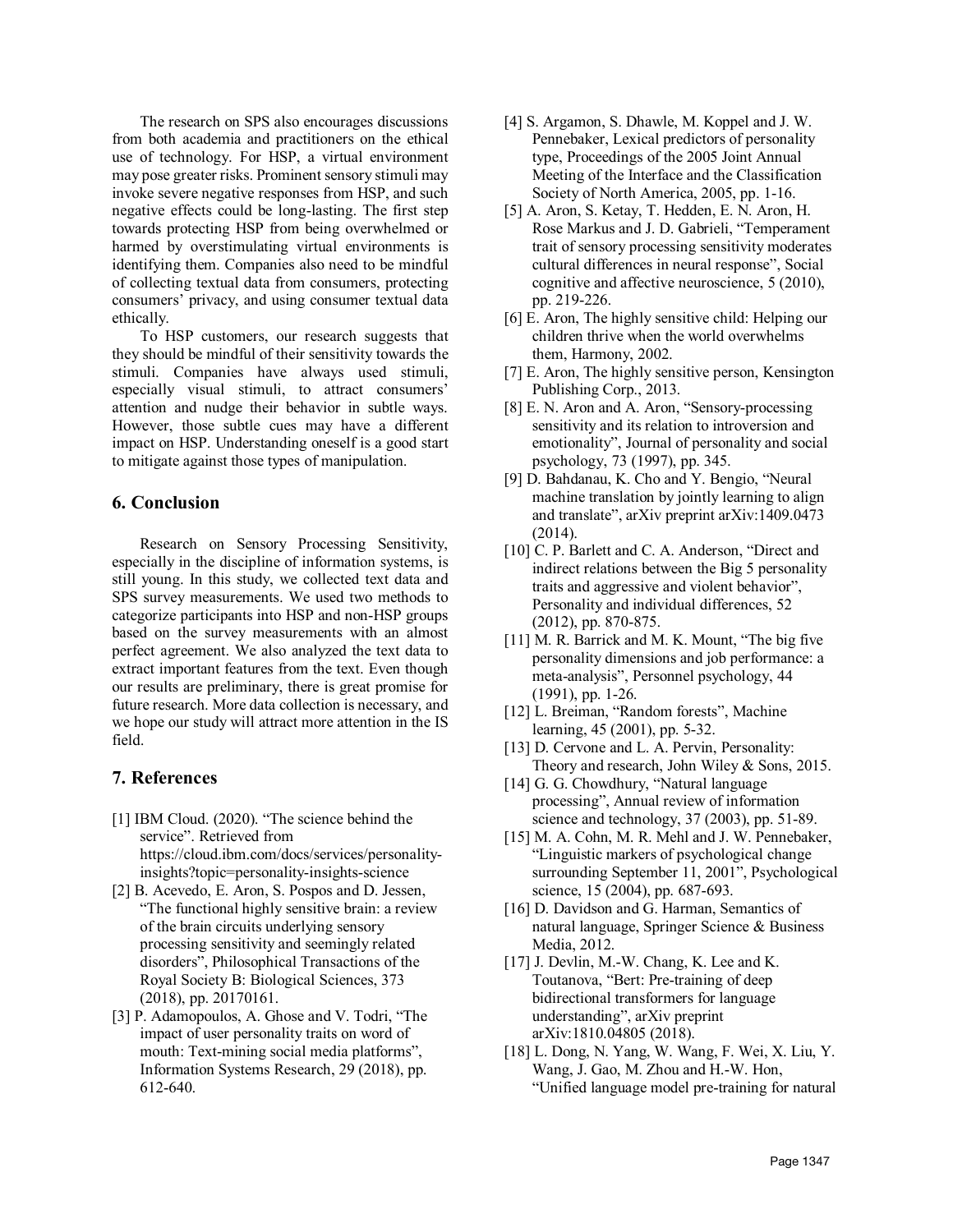The research on SPS also encourages discussions from both academia and practitioners on the ethical use of technology. For HSP, a virtual environment may pose greater risks. Prominent sensory stimuli may invoke severe negative responses from HSP, and such negative effects could be long-lasting. The first step towards protecting HSP from being overwhelmed or harmed by overstimulating virtual environments is identifying them. Companies also need to be mindful of collecting textual data from consumers, protecting consumers' privacy, and using consumer textual data ethically.

To HSP customers, our research suggests that they should be mindful of their sensitivity towards the stimuli. Companies have always used stimuli, especially visual stimuli, to attract consumers' attention and nudge their behavior in subtle ways. However, those subtle cues may have a different impact on HSP. Understanding oneself is a good start to mitigate against those types of manipulation.

# **6. Conclusion**

Research on Sensory Processing Sensitivity, especially in the discipline of information systems, is still young. In this study, we collected text data and SPS survey measurements. We used two methods to categorize participants into HSP and non-HSP groups based on the survey measurements with an almost perfect agreement. We also analyzed the text data to extract important features from the text. Even though our results are preliminary, there is great promise for future research. More data collection is necessary, and we hope our study will attract more attention in the IS field.

### **7. References**

- [1] IBM Cloud. (2020). "The science behind the service". Retrieved from https://cloud.ibm.com/docs/services/personalityinsights?topic=personality-insights-science
- [2] B. Acevedo, E. Aron, S. Pospos and D. Jessen, "The functional highly sensitive brain: a review of the brain circuits underlying sensory processing sensitivity and seemingly related disorders", Philosophical Transactions of the Royal Society B: Biological Sciences, 373 (2018), pp. 20170161.
- [3] P. Adamopoulos, A. Ghose and V. Todri, "The impact of user personality traits on word of mouth: Text-mining social media platforms", Information Systems Research, 29 (2018), pp. 612-640.
- [4] S. Argamon, S. Dhawle, M. Koppel and J. W. Pennebaker, Lexical predictors of personality type, Proceedings of the 2005 Joint Annual Meeting of the Interface and the Classification Society of North America, 2005, pp. 1-16.
- [5] A. Aron, S. Ketay, T. Hedden, E. N. Aron, H. Rose Markus and J. D. Gabrieli, "Temperament trait of sensory processing sensitivity moderates cultural differences in neural response", Social cognitive and affective neuroscience, 5 (2010), pp. 219-226.
- [6] E. Aron, The highly sensitive child: Helping our children thrive when the world overwhelms them, Harmony, 2002.
- [7] E. Aron, The highly sensitive person, Kensington Publishing Corp., 2013.
- [8] E. N. Aron and A. Aron, "Sensory-processing sensitivity and its relation to introversion and emotionality", Journal of personality and social psychology, 73 (1997), pp. 345.
- [9] D. Bahdanau, K. Cho and Y. Bengio, "Neural machine translation by jointly learning to align and translate", arXiv preprint arXiv:1409.0473 (2014).
- [10] C. P. Barlett and C. A. Anderson, "Direct and indirect relations between the Big 5 personality traits and aggressive and violent behavior", Personality and individual differences, 52 (2012), pp. 870-875.
- [11] M. R. Barrick and M. K. Mount, "The big five personality dimensions and job performance: a meta‐analysis", Personnel psychology, 44 (1991), pp. 1-26.
- [12] L. Breiman, "Random forests", Machine learning, 45 (2001), pp. 5-32.
- [13] D. Cervone and L. A. Pervin, Personality: Theory and research, John Wiley & Sons, 2015.
- [14] G. G. Chowdhury, "Natural language" processing", Annual review of information science and technology, 37 (2003), pp. 51-89.
- [15] M. A. Cohn, M. R. Mehl and J. W. Pennebaker, "Linguistic markers of psychological change surrounding September 11, 2001", Psychological science, 15 (2004), pp. 687-693.
- [16] D. Davidson and G. Harman, Semantics of natural language, Springer Science & Business Media, 2012.
- [17] J. Devlin, M.-W. Chang, K. Lee and K. Toutanova, "Bert: Pre-training of deep bidirectional transformers for language understanding", arXiv preprint arXiv:1810.04805 (2018).
- [18] L. Dong, N. Yang, W. Wang, F. Wei, X. Liu, Y. Wang, J. Gao, M. Zhou and H.-W. Hon, "Unified language model pre-training for natural